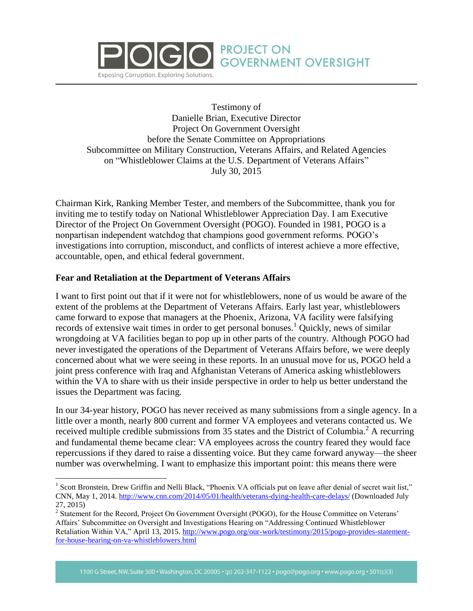

Testimony of Danielle Brian, Executive Director Project On Government Oversight before the Senate Committee on Appropriations Subcommittee on Military Construction, Veterans Affairs, and Related Agencies on "Whistleblower Claims at the U.S. Department of Veterans Affairs" July 30, 2015

**PROJECT ON** 

**GOVERNMENT OVERSIGHT** 

Chairman Kirk, Ranking Member Tester, and members of the Subcommittee, thank you for inviting me to testify today on National Whistleblower Appreciation Day. I am Executive Director of the Project On Government Oversight (POGO). Founded in 1981, POGO is a nonpartisan independent watchdog that champions good government reforms. POGO's investigations into corruption, misconduct, and conflicts of interest achieve a more effective, accountable, open, and ethical federal government.

## **Fear and Retaliation at the Department of Veterans Affairs**

 $\overline{a}$ 

I want to first point out that if it were not for whistleblowers, none of us would be aware of the extent of the problems at the Department of Veterans Affairs. Early last year, whistleblowers came forward to expose that managers at the Phoenix, Arizona, VA facility were falsifying records of extensive wait times in order to get personal bonuses.<sup>1</sup> Quickly, news of similar wrongdoing at VA facilities began to pop up in other parts of the country. Although POGO had never investigated the operations of the Department of Veterans Affairs before, we were deeply concerned about what we were seeing in these reports. In an unusual move for us, POGO held a joint press conference with Iraq and Afghanistan Veterans of America asking whistleblowers within the VA to share with us their inside perspective in order to help us better understand the issues the Department was facing.

In our 34-year history, POGO has never received as many submissions from a single agency. In a little over a month, nearly 800 current and former VA employees and veterans contacted us. We received multiple credible submissions from 35 states and the District of Columbia.<sup>2</sup> A recurring and fundamental theme became clear: VA employees across the country feared they would face repercussions if they dared to raise a dissenting voice. But they came forward anyway—the sheer number was overwhelming. I want to emphasize this important point: this means there were

<sup>&</sup>lt;sup>1</sup> Scott Bronstein, Drew Griffin and Nelli Black, "Phoenix VA officials put on leave after denial of secret wait list," CNN, May 1, 2014.<http://www.cnn.com/2014/05/01/health/veterans-dying-health-care-delays/> (Downloaded July 27, 2015)

<sup>&</sup>lt;sup>2</sup> Statement for the Record, Project On Government Oversight (POGO), for the House Committee on Veterans' Affairs' Subcommittee on Oversight and Investigations Hearing on "Addressing Continued Whistleblower Retaliation Within VA," April 13, 2015. [http://www.pogo.org/our-work/testimony/2015/pogo-provides-statement](http://www.pogo.org/our-work/testimony/2015/pogo-provides-statement-for-house-hearing-on-va-whistleblowers.html)[for-house-hearing-on-va-whistleblowers.html](http://www.pogo.org/our-work/testimony/2015/pogo-provides-statement-for-house-hearing-on-va-whistleblowers.html)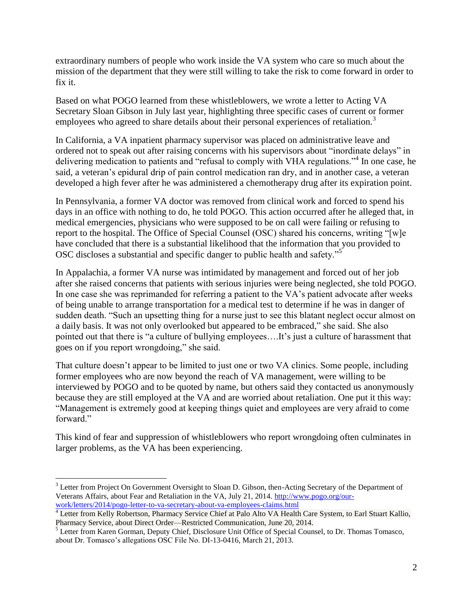extraordinary numbers of people who work inside the VA system who care so much about the mission of the department that they were still willing to take the risk to come forward in order to fix it.

Based on what POGO learned from these whistleblowers, we wrote a letter to Acting VA Secretary Sloan Gibson in July last year, highlighting three specific cases of current or former employees who agreed to share details about their personal experiences of retaliation.<sup>3</sup>

In California, a VA inpatient pharmacy supervisor was placed on administrative leave and ordered not to speak out after raising concerns with his supervisors about "inordinate delays" in delivering medication to patients and "refusal to comply with VHA regulations."<sup>4</sup> In one case, he said, a veteran's epidural drip of pain control medication ran dry, and in another case, a veteran developed a high fever after he was administered a chemotherapy drug after its expiration point.

In Pennsylvania, a former VA doctor was removed from clinical work and forced to spend his days in an office with nothing to do, he told POGO. This action occurred after he alleged that, in medical emergencies, physicians who were supposed to be on call were failing or refusing to report to the hospital. The Office of Special Counsel (OSC) shared his concerns, writing "[w]e have concluded that there is a substantial likelihood that the information that you provided to OSC discloses a substantial and specific danger to public health and safety."<sup>5</sup>

In Appalachia, a former VA nurse was intimidated by management and forced out of her job after she raised concerns that patients with serious injuries were being neglected, she told POGO. In one case she was reprimanded for referring a patient to the VA's patient advocate after weeks of being unable to arrange transportation for a medical test to determine if he was in danger of sudden death. "Such an upsetting thing for a nurse just to see this blatant neglect occur almost on a daily basis. It was not only overlooked but appeared to be embraced," she said. She also pointed out that there is "a culture of bullying employees….It's just a culture of harassment that goes on if you report wrongdoing," she said.

That culture doesn't appear to be limited to just one or two VA clinics. Some people, including former employees who are now beyond the reach of VA management, were willing to be interviewed by POGO and to be quoted by name, but others said they contacted us anonymously because they are still employed at the VA and are worried about retaliation. One put it this way: "Management is extremely good at keeping things quiet and employees are very afraid to come forward."

This kind of fear and suppression of whistleblowers who report wrongdoing often culminates in larger problems, as the VA has been experiencing.

 $\overline{a}$ 

<sup>&</sup>lt;sup>3</sup> Letter from Project On Government Oversight to Sloan D. Gibson, then-Acting Secretary of the Department of Veterans Affairs, about Fear and Retaliation in the VA, July 21, 2014. [http://www.pogo.org/our](http://www.pogo.org/our-work/letters/2014/pogo-letter-to-va-secretary-about-va-employees-claims.html)[work/letters/2014/pogo-letter-to-va-secretary-about-va-employees-claims.html](http://www.pogo.org/our-work/letters/2014/pogo-letter-to-va-secretary-about-va-employees-claims.html)

<sup>&</sup>lt;sup>4</sup> Letter from Kelly Robertson, Pharmacy Service Chief at Palo Alto VA Health Care System, to Earl Stuart Kallio, Pharmacy Service, about Direct Order—Restricted Communication, June 20, 2014.

<sup>&</sup>lt;sup>5</sup> Letter from Karen Gorman, Deputy Chief, Disclosure Unit Office of Special Counsel, to Dr. Thomas Tomasco, about Dr. Tomasco's allegations OSC File No. DI-13-0416, March 21, 2013.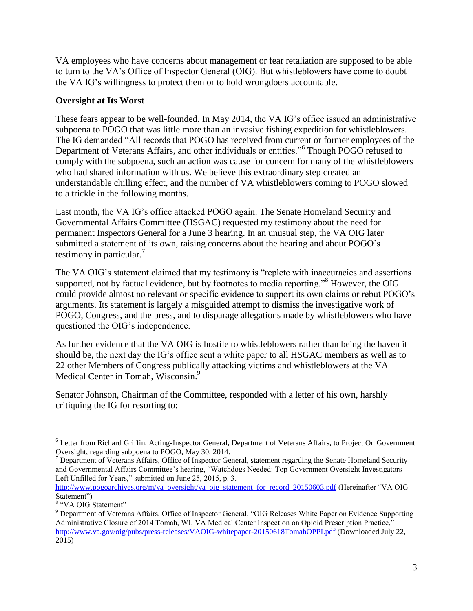VA employees who have concerns about management or fear retaliation are supposed to be able to turn to the VA's Office of Inspector General (OIG). But whistleblowers have come to doubt the VA IG's willingness to protect them or to hold wrongdoers accountable.

## **Oversight at Its Worst**

These fears appear to be well-founded. In May 2014, the VA IG's office issued an administrative subpoena to POGO that was little more than an invasive fishing expedition for whistleblowers. The IG demanded "All records that POGO has received from current or former employees of the Department of Veterans Affairs, and other individuals or entities."<sup>6</sup> Though POGO refused to comply with the subpoena, such an action was cause for concern for many of the whistleblowers who had shared information with us. We believe this extraordinary step created an understandable chilling effect, and the number of VA whistleblowers coming to POGO slowed to a trickle in the following months.

Last month, the VA IG's office attacked POGO again. The Senate Homeland Security and Governmental Affairs Committee (HSGAC) requested my testimony about the need for permanent Inspectors General for a June 3 hearing. In an unusual step, the VA OIG later submitted a statement of its own, raising concerns about the hearing and about POGO's testimony in particular.<sup>7</sup>

The VA OIG's statement claimed that my testimony is "replete with inaccuracies and assertions supported, not by factual evidence, but by footnotes to media reporting."<sup>8</sup> However, the OIG could provide almost no relevant or specific evidence to support its own claims or rebut POGO's arguments. Its statement is largely a misguided attempt to dismiss the investigative work of POGO, Congress, and the press, and to disparage allegations made by whistleblowers who have questioned the OIG's independence.

As further evidence that the VA OIG is hostile to whistleblowers rather than being the haven it should be, the next day the IG's office sent a white paper to all HSGAC members as well as to 22 other Members of Congress publically attacking victims and whistleblowers at the VA Medical Center in Tomah, Wisconsin.<sup>9</sup>

Senator Johnson, Chairman of the Committee, responded with a letter of his own, harshly critiquing the IG for resorting to:

 $\overline{a}$ <sup>6</sup> Letter from Richard Griffin, Acting-Inspector General, Department of Veterans Affairs, to Project On Government Oversight, regarding subpoena to POGO, May 30, 2014.

 $7$  Department of Veterans Affairs, Office of Inspector General, statement regarding the Senate Homeland Security and Governmental Affairs Committee's hearing, "Watchdogs Needed: Top Government Oversight Investigators Left Unfilled for Years," submitted on June 25, 2015, p. 3.

[http://www.pogoarchives.org/m/va\\_oversight/va\\_oig\\_statement\\_for\\_record\\_20150603.pdf](http://www.pogoarchives.org/m/va_oversight/va_oig_statement_for_record_20150603.pdf) (Hereinafter "VA OIG Statement")

<sup>&</sup>lt;sup>8</sup> "VA OIG Statement"

<sup>&</sup>lt;sup>9</sup> Department of Veterans Affairs, Office of Inspector General, "OIG Releases White Paper on Evidence Supporting Administrative Closure of 2014 Tomah, WI, VA Medical Center Inspection on Opioid Prescription Practice," <http://www.va.gov/oig/pubs/press-releases/VAOIG-whitepaper-20150618TomahOPPI.pdf> (Downloaded July 22, 2015)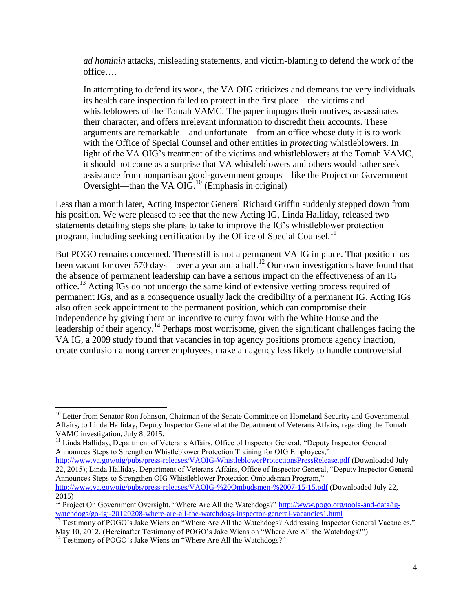*ad hominin* attacks, misleading statements, and victim-blaming to defend the work of the office….

In attempting to defend its work, the VA OIG criticizes and demeans the very individuals its health care inspection failed to protect in the first place—the victims and whistleblowers of the Tomah VAMC. The paper impugns their motives, assassinates their character, and offers irrelevant information to discredit their accounts. These arguments are remarkable—and unfortunate—from an office whose duty it is to work with the Office of Special Counsel and other entities in *protecting* whistleblowers. In light of the VA OIG's treatment of the victims and whistleblowers at the Tomah VAMC, it should not come as a surprise that VA whistleblowers and others would rather seek assistance from nonpartisan good-government groups—like the Project on Government Oversight—than the VA  $\overline{OIG}$ .<sup>10</sup> (Emphasis in original)

Less than a month later, Acting Inspector General Richard Griffin suddenly stepped down from his position. We were pleased to see that the new Acting IG, Linda Halliday, released two statements detailing steps she plans to take to improve the IG's whistleblower protection program, including seeking certification by the Office of Special Counsel.<sup>11</sup>

But POGO remains concerned. There still is not a permanent VA IG in place. That position has been vacant for over 570 days—over a year and a half.<sup>12</sup> Our own investigations have found that the absence of permanent leadership can have a serious impact on the effectiveness of an IG office.<sup>13</sup> Acting IGs do not undergo the same kind of extensive vetting process required of permanent IGs, and as a consequence usually lack the credibility of a permanent IG. Acting IGs also often seek appointment to the permanent position, which can compromise their independence by giving them an incentive to curry favor with the White House and the leadership of their agency.<sup>14</sup> Perhaps most worrisome, given the significant challenges facing the VA IG, a 2009 study found that vacancies in top agency positions promote agency inaction, create confusion among career employees, make an agency less likely to handle controversial

<sup>11</sup> Linda Halliday, Department of Veterans Affairs, Office of Inspector General, "Deputy Inspector General Announces Steps to Strengthen Whistleblower Protection Training for OIG Employees,"

 $\overline{a}$ 

<sup>&</sup>lt;sup>10</sup> Letter from Senator Ron Johnson, Chairman of the Senate Committee on Homeland Security and Governmental Affairs, to Linda Halliday, Deputy Inspector General at the Department of Veterans Affairs, regarding the Tomah VAMC investigation, July 8, 2015.

<http://www.va.gov/oig/pubs/press-releases/VAOIG-WhistleblowerProtectionsPressRelease.pdf> (Downloaded July 22, 2015); Linda Halliday, Department of Veterans Affairs, Office of Inspector General, "Deputy Inspector General Announces Steps to Strengthen OIG Whistleblower Protection Ombudsman Program," <http://www.va.gov/oig/pubs/press-releases/VAOIG-%20Ombudsmen-%2007-15-15.pdf> (Downloaded July 22,

<sup>2015)</sup>  <sup>12</sup> Project On Government Oversight, "Where Are All the Watchdogs?" [http://www.pogo.org/tools-and-data/ig](http://www.pogo.org/tools-and-data/ig-watchdogs/go-igi-20120208-where-are-all-the-watchdogs-inspector-general-vacancies1.html)[watchdogs/go-igi-20120208-where-are-all-the-watchdogs-inspector-general-vacancies1.html](http://www.pogo.org/tools-and-data/ig-watchdogs/go-igi-20120208-where-are-all-the-watchdogs-inspector-general-vacancies1.html)

<sup>&</sup>lt;sup>13</sup> Testimony of POGO's Jake Wiens on "Where Are All the Watchdogs? Addressing Inspector General Vacancies," May 10, 2012. (Hereinafter Testimony of POGO's Jake Wiens on "Where Are All the Watchdogs?")

<sup>&</sup>lt;sup>14</sup> Testimony of POGO's Jake Wiens on "Where Are All the Watchdogs?"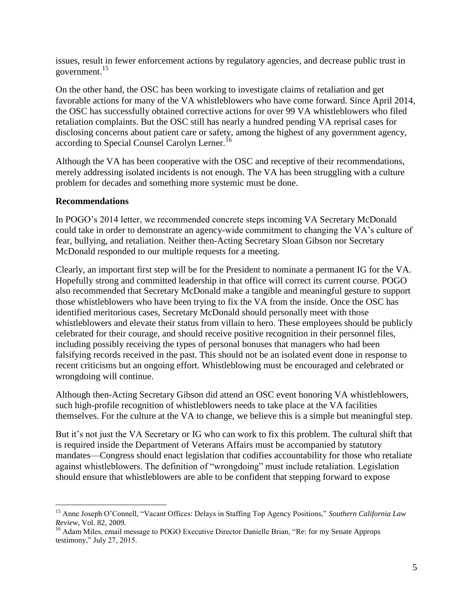issues, result in fewer enforcement actions by regulatory agencies, and decrease public trust in government.<sup>15</sup>

On the other hand, the OSC has been working to investigate claims of retaliation and get favorable actions for many of the VA whistleblowers who have come forward. Since April 2014, the OSC has successfully obtained corrective actions for over 99 VA whistleblowers who filed retaliation complaints. But the OSC still has nearly a hundred pending VA reprisal cases for disclosing concerns about patient care or safety, among the highest of any government agency, according to Special Counsel Carolyn Lerner.<sup>16</sup>

Although the VA has been cooperative with the OSC and receptive of their recommendations, merely addressing isolated incidents is not enough. The VA has been struggling with a culture problem for decades and something more systemic must be done.

## **Recommendations**

 $\overline{a}$ 

In POGO's 2014 letter, we recommended concrete steps incoming VA Secretary McDonald could take in order to demonstrate an agency-wide commitment to changing the VA's culture of fear, bullying, and retaliation. Neither then-Acting Secretary Sloan Gibson nor Secretary McDonald responded to our multiple requests for a meeting.

Clearly, an important first step will be for the President to nominate a permanent IG for the VA. Hopefully strong and committed leadership in that office will correct its current course. POGO also recommended that Secretary McDonald make a tangible and meaningful gesture to support those whistleblowers who have been trying to fix the VA from the inside. Once the OSC has identified meritorious cases, Secretary McDonald should personally meet with those whistleblowers and elevate their status from villain to hero. These employees should be publicly celebrated for their courage, and should receive positive recognition in their personnel files, including possibly receiving the types of personal bonuses that managers who had been falsifying records received in the past. This should not be an isolated event done in response to recent criticisms but an ongoing effort. Whistleblowing must be encouraged and celebrated or wrongdoing will continue.

Although then-Acting Secretary Gibson did attend an OSC event honoring VA whistleblowers, such high-profile recognition of whistleblowers needs to take place at the VA facilities themselves. For the culture at the VA to change, we believe this is a simple but meaningful step.

But it's not just the VA Secretary or IG who can work to fix this problem. The cultural shift that is required inside the Department of Veterans Affairs must be accompanied by statutory mandates—Congress should enact legislation that codifies accountability for those who retaliate against whistleblowers. The definition of "wrongdoing" must include retaliation. Legislation should ensure that whistleblowers are able to be confident that stepping forward to expose

<sup>15</sup> Anne Joseph O'Connell, "Vacant Offices: Delays in Staffing Top Agency Positions," *Southern California Law Review*, Vol. 82, 2009.

<sup>&</sup>lt;sup>16</sup> Adam Miles, email message to POGO Executive Director Danielle Brian, "Re: for my Senate Approps testimony," July 27, 2015.